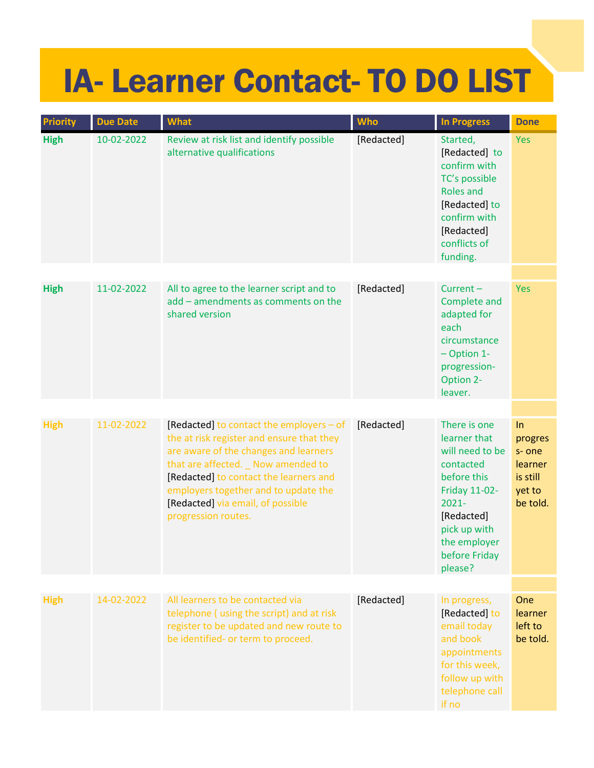## IA- Learner Contact- TO DO LIST

| <b>Priority</b> | <b>Due Date</b> | <b>What</b>                                                                                                                                                                                                                                                                                                         | <b>Who</b> | <b>In Progress</b>                                                                                                                                                                        | <b>Done</b>                                                                |
|-----------------|-----------------|---------------------------------------------------------------------------------------------------------------------------------------------------------------------------------------------------------------------------------------------------------------------------------------------------------------------|------------|-------------------------------------------------------------------------------------------------------------------------------------------------------------------------------------------|----------------------------------------------------------------------------|
| <b>High</b>     | 10-02-2022      | Review at risk list and identify possible<br>alternative qualifications                                                                                                                                                                                                                                             | [Redacted] | Started,<br>[Redacted] to<br>confirm with<br>TC's possible<br><b>Roles and</b><br>[Redacted] to<br>confirm with<br>[Redacted]<br>conflicts of<br>funding.                                 | <b>Yes</b>                                                                 |
|                 |                 |                                                                                                                                                                                                                                                                                                                     |            |                                                                                                                                                                                           |                                                                            |
| <b>High</b>     | 11-02-2022      | All to agree to the learner script and to<br>add - amendments as comments on the<br>shared version                                                                                                                                                                                                                  | [Redacted] | $Current -$<br>Complete and<br>adapted for<br>each<br>circumstance<br>$-$ Option 1-<br>progression-<br>Option 2-<br>leaver.                                                               | <b>Yes</b>                                                                 |
|                 |                 |                                                                                                                                                                                                                                                                                                                     |            |                                                                                                                                                                                           |                                                                            |
| <b>High</b>     | 11-02-2022      | [Redacted] to contact the employers - of<br>the at risk register and ensure that they<br>are aware of the changes and learners<br>that are affected. _ Now amended to<br>[Redacted] to contact the learners and<br>employers together and to update the<br>[Redacted] via email, of possible<br>progression routes. | [Redacted] | There is one<br>learner that<br>will need to be<br>contacted<br>before this<br><b>Friday 11-02-</b><br>$2021 -$<br>[Redacted]<br>pick up with<br>the employer<br>before Friday<br>please? | ln<br>progres<br>s-one<br><b>learner</b><br>is still<br>yet to<br>be told. |
|                 |                 |                                                                                                                                                                                                                                                                                                                     |            |                                                                                                                                                                                           |                                                                            |
| <b>High</b>     | 14-02-2022      | All learners to be contacted via<br>telephone (using the script) and at risk<br>register to be updated and new route to<br>be identified- or term to proceed.                                                                                                                                                       | [Redacted] | In progress,<br>[Redacted] to<br>email today<br>and book<br>appointments<br>for this week,<br>follow up with<br>telephone call<br>if no                                                   | One<br>learner<br>left to<br>be told.                                      |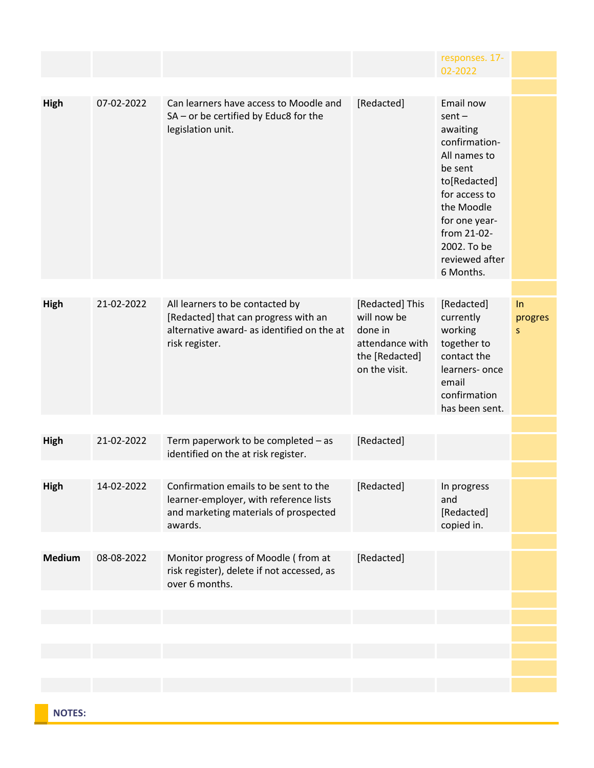|               |            |                                                                                                                                         |                                                                                                 | responses. 17-<br>02-2022                                                                                                                                                                                  |                    |
|---------------|------------|-----------------------------------------------------------------------------------------------------------------------------------------|-------------------------------------------------------------------------------------------------|------------------------------------------------------------------------------------------------------------------------------------------------------------------------------------------------------------|--------------------|
|               |            |                                                                                                                                         |                                                                                                 |                                                                                                                                                                                                            |                    |
| High          | 07-02-2022 | Can learners have access to Moodle and<br>SA - or be certified by Educ8 for the<br>legislation unit.                                    | [Redacted]                                                                                      | Email now<br>$sent -$<br>awaiting<br>confirmation-<br>All names to<br>be sent<br>to[Redacted]<br>for access to<br>the Moodle<br>for one year-<br>from 21-02-<br>2002. To be<br>reviewed after<br>6 Months. |                    |
| High          | 21-02-2022 | All learners to be contacted by<br>[Redacted] that can progress with an<br>alternative award- as identified on the at<br>risk register. | [Redacted] This<br>will now be<br>done in<br>attendance with<br>the [Redacted]<br>on the visit. | [Redacted]<br>currently<br>working<br>together to<br>contact the<br>learners-once<br>email<br>confirmation<br>has been sent.                                                                               | In<br>progres<br>S |
|               |            |                                                                                                                                         |                                                                                                 |                                                                                                                                                                                                            |                    |
| High          | 21-02-2022 | Term paperwork to be completed - as<br>identified on the at risk register.                                                              | [Redacted]                                                                                      |                                                                                                                                                                                                            |                    |
|               |            |                                                                                                                                         |                                                                                                 |                                                                                                                                                                                                            |                    |
| <b>High</b>   | 14-02-2022 | Confirmation emails to be sent to the<br>learner-employer, with reference lists<br>and marketing materials of prospected<br>awards.     | [Redacted]                                                                                      | In progress<br>and<br>[Redacted]<br>copied in.                                                                                                                                                             |                    |
|               |            |                                                                                                                                         |                                                                                                 |                                                                                                                                                                                                            |                    |
| <b>Medium</b> | 08-08-2022 | Monitor progress of Moodle (from at<br>risk register), delete if not accessed, as<br>over 6 months.                                     | [Redacted]                                                                                      |                                                                                                                                                                                                            |                    |
|               |            |                                                                                                                                         |                                                                                                 |                                                                                                                                                                                                            |                    |
|               |            |                                                                                                                                         |                                                                                                 |                                                                                                                                                                                                            |                    |
|               |            |                                                                                                                                         |                                                                                                 |                                                                                                                                                                                                            |                    |
|               |            |                                                                                                                                         |                                                                                                 |                                                                                                                                                                                                            |                    |
|               |            |                                                                                                                                         |                                                                                                 |                                                                                                                                                                                                            |                    |
|               |            |                                                                                                                                         |                                                                                                 |                                                                                                                                                                                                            |                    |

**NOTES:**